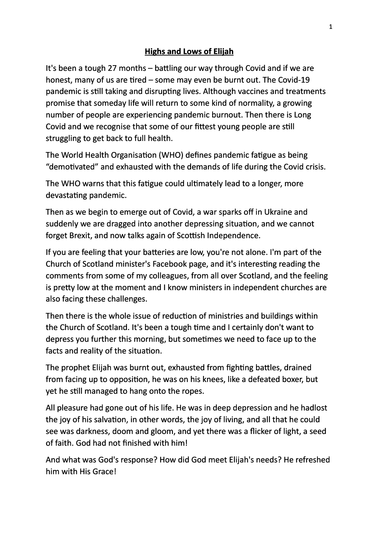## **Highs and Lows of Elijah**

It's been a tough 27 months – battling our way through Covid and if we are honest, many of us are tired  $-$  some may even be burnt out. The Covid-19 pandemic is still taking and disrupting lives. Although vaccines and treatments promise that someday life will return to some kind of normality, a growing number of people are experiencing pandemic burnout. Then there is Long Covid and we recognise that some of our fittest young people are still struggling to get back to full health.

The World Health Organisation (WHO) defines pandemic fatigue as being "demotivated" and exhausted with the demands of life during the Covid crisis.

The WHO warns that this fatigue could ultimately lead to a longer, more devastating pandemic.

Then as we begin to emerge out of Covid, a war sparks off in Ukraine and suddenly we are dragged into another depressing situation, and we cannot forget Brexit, and now talks again of Scottish Independence.

If you are feeling that your batteries are low, you're not alone. I'm part of the Church of Scotland minister's Facebook page, and it's interesting reading the comments from some of my colleagues, from all over Scotland, and the feeling is pretty low at the moment and I know ministers in independent churches are also facing these challenges.

Then there is the whole issue of reduction of ministries and buildings within the Church of Scotland. It's been a tough time and I certainly don't want to depress you further this morning, but sometimes we need to face up to the facts and reality of the situation.

The prophet Elijah was burnt out, exhausted from fighting battles, drained from facing up to opposition, he was on his knees, like a defeated boxer, but yet he still managed to hang onto the ropes.

All pleasure had gone out of his life. He was in deep depression and he hadlost the joy of his salvation, in other words, the joy of living, and all that he could see was darkness, doom and gloom, and yet there was a flicker of light, a seed of faith. God had not finished with him!

And what was God's response? How did God meet Elijah's needs? He refreshed him with His Grace!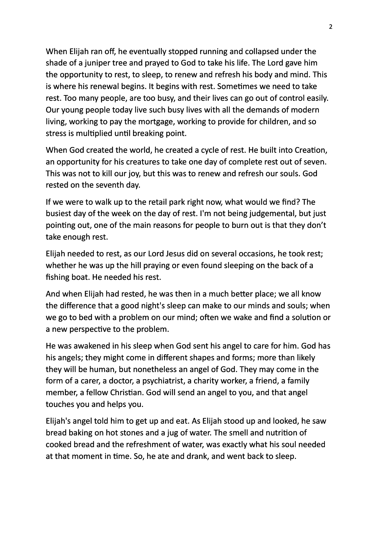When Elijah ran off, he eventually stopped running and collapsed under the shade of a juniper tree and prayed to God to take his life. The Lord gave him the opportunity to rest, to sleep, to renew and refresh his body and mind. This is where his renewal begins. It begins with rest. Sometimes we need to take rest. Too many people, are too busy, and their lives can go out of control easily. Our young people today live such busy lives with all the demands of modern living, working to pay the mortgage, working to provide for children, and so stress is multiplied until breaking point.

When God created the world, he created a cycle of rest. He built into Creation, an opportunity for his creatures to take one day of complete rest out of seven. This was not to kill our joy, but this was to renew and refresh our souls. God rested on the seventh day.

If we were to walk up to the retail park right now, what would we find? The busiest day of the week on the day of rest. I'm not being judgemental, but just pointing out, one of the main reasons for people to burn out is that they don't take enough rest.

Elijah needed to rest, as our Lord Jesus did on several occasions, he took rest; whether he was up the hill praying or even found sleeping on the back of a fishing boat. He needed his rest.

And when Elijah had rested, he was then in a much better place; we all know the difference that a good night's sleep can make to our minds and souls; when we go to bed with a problem on our mind; often we wake and find a solution or a new perspective to the problem.

He was awakened in his sleep when God sent his angel to care for him. God has his angels; they might come in different shapes and forms; more than likely they will be human, but nonetheless an angel of God. They may come in the form of a carer, a doctor, a psychiatrist, a charity worker, a friend, a family member, a fellow Christian. God will send an angel to you, and that angel touches you and helps you.

Elijah's angel told him to get up and eat. As Elijah stood up and looked, he saw bread baking on hot stones and a jug of water. The smell and nutrition of cooked bread and the refreshment of water, was exactly what his soul needed at that moment in time. So, he ate and drank, and went back to sleep.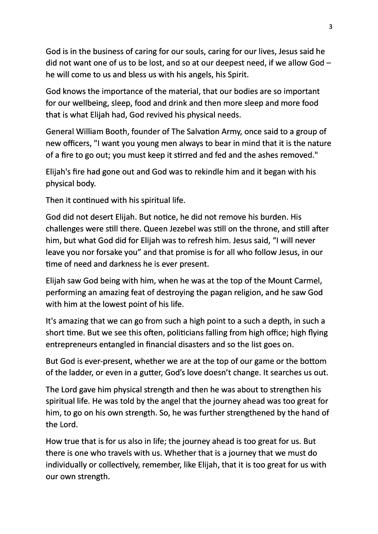God is in the business of caring for our souls, caring for our lives, Jesus said he did not want one of us to be lost, and so at our deepest need, if we allow God – he will come to us and bless us with his angels, his Spirit.

God knows the importance of the material, that our bodies are so important for our wellbeing, sleep, food and drink and then more sleep and more food that is what Elijah had, God revived his physical needs.

General William Booth, founder of The Salvation Army, once said to a group of new officers, "I want you young men always to bear in mind that it is the nature of a fire to go out; you must keep it stirred and fed and the ashes removed."

Elijah's fire had gone out and God was to rekindle him and it began with his physical body.

Then it continued with his spiritual life.

God did not desert Elijah. But notice, he did not remove his burden. His challenges were still there. Queen Jezebel was still on the throne, and still after him, but what God did for Elijah was to refresh him. Jesus said, "I will never leave you nor forsake you" and that promise is for all who follow Jesus, in our time of need and darkness he is ever present.

Elijah saw God being with him, when he was at the top of the Mount Carmel, performing an amazing feat of destroying the pagan religion, and he saw God with him at the lowest point of his life.

It's amazing that we can go from such a high point to a such a depth, in such a short time. But we see this often, politicians falling from high office; high flying entrepreneurs entangled in financial disasters and so the list goes on.

But God is ever-present, whether we are at the top of our game or the bottom of the ladder, or even in a gutter, God's love doesn't change. It searches us out.

The Lord gave him physical strength and then he was about to strengthen his spiritual life. He was told by the angel that the journey ahead was too great for him, to go on his own strength. So, he was further strengthened by the hand of the Lord.

How true that is for us also in life; the journey ahead is too great for us. But there is one who travels with us. Whether that is a journey that we must do individually or collectively, remember, like Elijah, that it is too great for us with our own strength.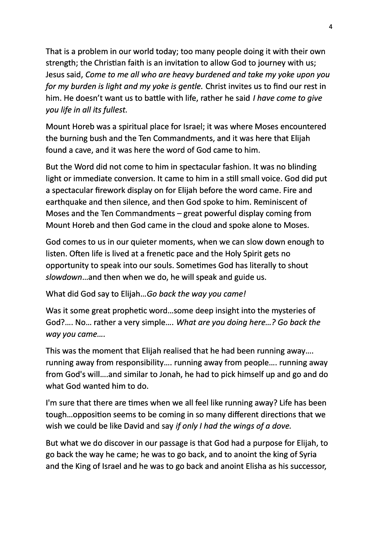That is a problem in our world today; too many people doing it with their own strength; the Christian faith is an invitation to allow God to journey with us; Jesus said, *Come to me all who are heavy burdened and take my yoke upon you for my burden is light and my yoke is gentle.* Christ invites us to find our rest in him. He doesn't want us to battle with life, rather he said *I have come to give you life in all its fullest.* 

Mount Horeb was a spiritual place for Israel; it was where Moses encountered the burning bush and the Ten Commandments, and it was here that Elijah found a cave, and it was here the word of God came to him.

But the Word did not come to him in spectacular fashion. It was no blinding light or immediate conversion. It came to him in a still small voice. God did put a spectacular firework display on for Elijah before the word came. Fire and earthquake and then silence, and then God spoke to him. Reminiscent of Moses and the Ten Commandments  $-$  great powerful display coming from Mount Horeb and then God came in the cloud and spoke alone to Moses.

God comes to us in our quieter moments, when we can slow down enough to listen. Often life is lived at a frenetic pace and the Holy Spirit gets no opportunity to speak into our souls. Sometimes God has literally to shout slowdown...and then when we do, he will speak and guide us.

What did God say to Elijah... Go back the way you came!

Was it some great prophetic word...some deep insight into the mysteries of God?.... No... rather a very simple.... What are you doing here...? Go back the *way you came….*

This was the moment that Elijah realised that he had been running away.... running away from responsibility.... running away from people.... running away from God's will....and similar to Jonah, he had to pick himself up and go and do what God wanted him to do.

I'm sure that there are times when we all feel like running away? Life has been tough...opposition seems to be coming in so many different directions that we wish we could be like David and say *if only I had the wings of a dove.* 

But what we do discover in our passage is that God had a purpose for Elijah, to go back the way he came; he was to go back, and to anoint the king of Syria and the King of Israel and he was to go back and anoint Elisha as his successor,